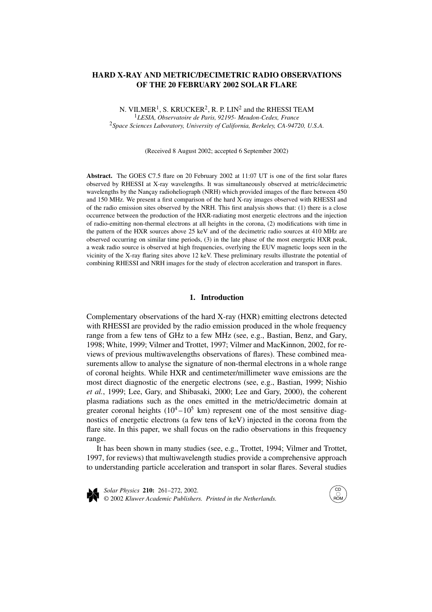# **HARD X-RAY AND METRIC/DECIMETRIC RADIO OBSERVATIONS OF THE 20 FEBRUARY 2002 SOLAR FLARE**

N. VILMER<sup>1</sup>, S. KRUCKER<sup>2</sup>, R. P. LIN<sup>2</sup> and the RHESSI TEAM <sup>1</sup>*LESIA, Observatoire de Paris, 92195- Meudon-Cedex, France* <sup>2</sup>*Space Sciences Laboratory, University of California, Berkeley, CA-94720, U.S.A.*

(Received 8 August 2002; accepted 6 September 2002)

**Abstract.** The GOES C7.5 flare on 20 February 2002 at 11:07 UT is one of the first solar flares observed by RHESSI at X-ray wavelengths. It was simultaneously observed at metric/decimetric wavelengths by the Nançay radioheliograph (NRH) which provided images of the flare between 450 and 150 MHz. We present a first comparison of the hard X-ray images observed with RHESSI and of the radio emission sites observed by the NRH. This first analysis shows that: (1) there is a close occurrence between the production of the HXR-radiating most energetic electrons and the injection of radio-emitting non-thermal electrons at all heights in the corona, (2) modifications with time in the pattern of the HXR sources above 25 keV and of the decimetric radio sources at 410 MHz are observed occurring on similar time periods, (3) in the late phase of the most energetic HXR peak, a weak radio source is observed at high frequencies, overlying the EUV magnetic loops seen in the vicinity of the X-ray flaring sites above 12 keV. These preliminary results illustrate the potential of combining RHESSI and NRH images for the study of electron acceleration and transport in flares.

## **1. Introduction**

Complementary observations of the hard X-ray (HXR) emitting electrons detected with RHESSI are provided by the radio emission produced in the whole frequency range from a few tens of GHz to a few MHz (see, e.g., Bastian, Benz, and Gary, 1998; White, 1999; Vilmer and Trottet, 1997; Vilmer and MacKinnon, 2002, for reviews of previous multiwavelengths observations of flares). These combined measurements allow to analyse the signature of non-thermal electrons in a whole range of coronal heights. While HXR and centimeter/millimeter wave emissions are the most direct diagnostic of the energetic electrons (see, e.g., Bastian, 1999; Nishio *et al.*, 1999; Lee, Gary, and Shibasaki, 2000; Lee and Gary, 2000), the coherent plasma radiations such as the ones emitted in the metric/decimetric domain at greater coronal heights  $(10^4 - 10^5 \text{ km})$  represent one of the most sensitive diagnostics of energetic electrons (a few tens of keV) injected in the corona from the flare site. In this paper, we shall focus on the radio observations in this frequency range.

It has been shown in many studies (see, e.g., Trottet, 1994; Vilmer and Trottet, 1997, for reviews) that multiwavelength studies provide a comprehensive approach to understanding particle acceleration and transport in solar flares. Several studies



*Solar Physics* **210:** 261–272, 2002. © 2002 *Kluwer Academic Publishers. Printed in the Netherlands.*

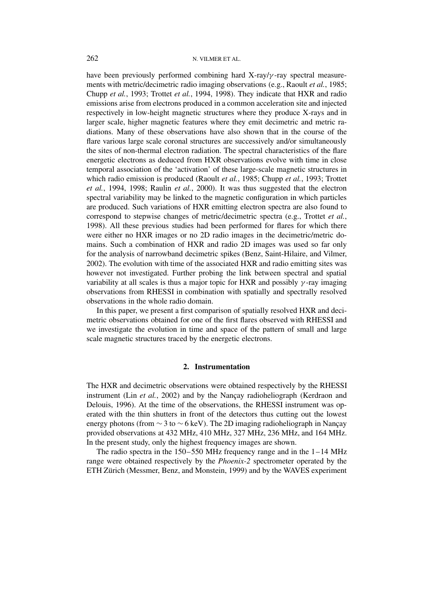have been previously performed combining hard X-ray/*γ* -ray spectral measurements with metric/decimetric radio imaging observations (e.g., Raoult *et al.*, 1985; Chupp *et al.*, 1993; Trottet *et al.*, 1994, 1998). They indicate that HXR and radio emissions arise from electrons produced in a common acceleration site and injected respectively in low-height magnetic structures where they produce X-rays and in larger scale, higher magnetic features where they emit decimetric and metric radiations. Many of these observations have also shown that in the course of the flare various large scale coronal structures are successively and/or simultaneously the sites of non-thermal electron radiation. The spectral characteristics of the flare energetic electrons as deduced from HXR observations evolve with time in close temporal association of the 'activation' of these large-scale magnetic structures in which radio emission is produced (Raoult *et al.*, 1985; Chupp *et al.*, 1993; Trottet *et al.*, 1994, 1998; Raulin *et al.*, 2000). It was thus suggested that the electron spectral variability may be linked to the magnetic configuration in which particles are produced. Such variations of HXR emitting electron spectra are also found to correspond to stepwise changes of metric/decimetric spectra (e.g., Trottet *et al.*, 1998). All these previous studies had been performed for flares for which there were either no HXR images or no 2D radio images in the decimetric/metric domains. Such a combination of HXR and radio 2D images was used so far only for the analysis of narrowband decimetric spikes (Benz, Saint-Hilaire, and Vilmer, 2002). The evolution with time of the associated HXR and radio emitting sites was however not investigated. Further probing the link between spectral and spatial variability at all scales is thus a major topic for HXR and possibly *γ* -ray imaging observations from RHESSI in combination with spatially and spectrally resolved observations in the whole radio domain.

In this paper, we present a first comparison of spatially resolved HXR and decimetric observations obtained for one of the first flares observed with RHESSI and we investigate the evolution in time and space of the pattern of small and large scale magnetic structures traced by the energetic electrons.

#### **2. Instrumentation**

The HXR and decimetric observations were obtained respectively by the RHESSI instrument (Lin *et al.*, 2002) and by the Nançay radioheliograph (Kerdraon and Delouis, 1996). At the time of the observations, the RHESSI instrument was operated with the thin shutters in front of the detectors thus cutting out the lowest energy photons (from ∼ 3 to ∼ 6 keV). The 2D imaging radioheliograph in Nançay provided observations at 432 MHz, 410 MHz, 327 MHz, 236 MHz, and 164 MHz. In the present study, only the highest frequency images are shown.

The radio spectra in the  $150-550$  MHz frequency range and in the  $1-14$  MHz range were obtained respectively by the *Phoenix-2* spectrometer operated by the ETH Zürich (Messmer, Benz, and Monstein, 1999) and by the WAVES experiment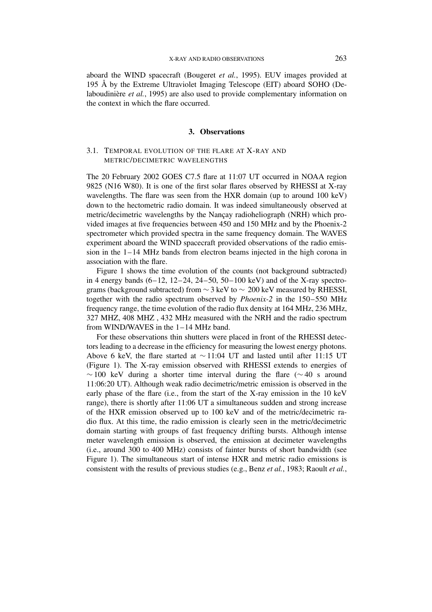aboard the WIND spacecraft (Bougeret *et al.*, 1995). EUV images provided at 195 Å by the Extreme Ultraviolet Imaging Telescope (EIT) aboard SOHO (Delaboudinière *et al.*, 1995) are also used to provide complementary information on the context in which the flare occurred.

## **3. Observations**

## 3.1. TEMPORAL EVOLUTION OF THE FLARE AT X-RAY AND METRIC/DECIMETRIC WAVELENGTHS

The 20 February 2002 GOES C7.5 flare at 11:07 UT occurred in NOAA region 9825 (N16 W80). It is one of the first solar flares observed by RHESSI at X-ray wavelengths. The flare was seen from the HXR domain (up to around 100 keV) down to the hectometric radio domain. It was indeed simultaneously observed at metric/decimetric wavelengths by the Nançay radioheliograph (NRH) which provided images at five frequencies between 450 and 150 MHz and by the Phoenix-2 spectrometer which provided spectra in the same frequency domain. The WAVES experiment aboard the WIND spacecraft provided observations of the radio emission in the 1–14 MHz bands from electron beams injected in the high corona in association with the flare.

Figure 1 shows the time evolution of the counts (not background subtracted) in 4 energy bands  $(6-12, 12-24, 24-50, 50-100 \text{ keV})$  and of the X-ray spectrograms (background subtracted) from  $\sim$  3 keV to  $\sim$  200 keV measured by RHESSI, together with the radio spectrum observed by *Phoenix-2* in the 150–550 MHz frequency range, the time evolution of the radio flux density at 164 MHz, 236 MHz, 327 MHZ, 408 MHZ , 432 MHz measured with the NRH and the radio spectrum from WIND/WAVES in the 1–14 MHz band.

For these observations thin shutters were placed in front of the RHESSI detectors leading to a decrease in the efficiency for measuring the lowest energy photons. Above 6 keV, the flare started at ∼ 11:04 UT and lasted until after 11:15 UT (Figure 1). The X-ray emission observed with RHESSI extends to energies of  $\sim$  100 keV during a shorter time interval during the flare ( $\sim$  40 s around 11:06:20 UT). Although weak radio decimetric/metric emission is observed in the early phase of the flare (i.e., from the start of the X-ray emission in the 10 keV range), there is shortly after 11:06 UT a simultaneous sudden and strong increase of the HXR emission observed up to 100 keV and of the metric/decimetric radio flux. At this time, the radio emission is clearly seen in the metric/decimetric domain starting with groups of fast frequency drifting bursts. Although intense meter wavelength emission is observed, the emission at decimeter wavelengths (i.e., around 300 to 400 MHz) consists of fainter bursts of short bandwidth (see Figure 1). The simultaneous start of intense HXR and metric radio emissions is consistent with the results of previous studies (e.g., Benz *et al.*, 1983; Raoult *et al.*,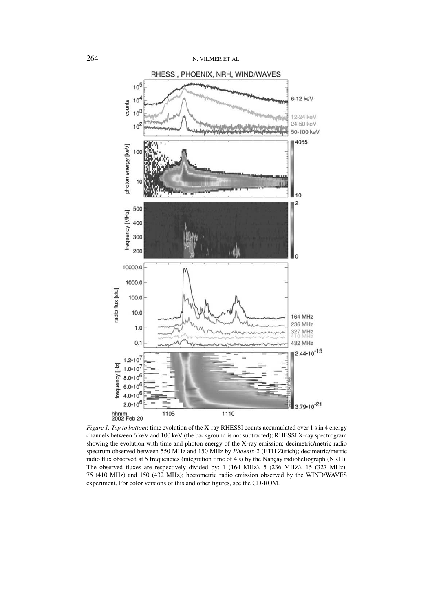

*Figure 1. Top to bottom*: time evolution of the X-ray RHESSI counts accumulated over 1 s in 4 energy channels between 6 keV and 100 keV (the background is not subtracted); RHESSI X-ray spectrogram showing the evolution with time and photon energy of the X-ray emission; decimetric/metric radio spectrum observed between 550 MHz and 150 MHz by *Phoenix-2* (ETH Zürich); decimetric/metric radio flux observed at 5 frequencies (integration time of 4 s) by the Nançay radioheliograph (NRH). The observed fluxes are respectively divided by: 1 (164 MHz), 5 (236 MHZ), 15 (327 MHz), 75 (410 MHz) and 150 (432 MHz); hectometric radio emission observed by the WIND/WAVES experiment. For color versions of this and other figures, see the CD-ROM.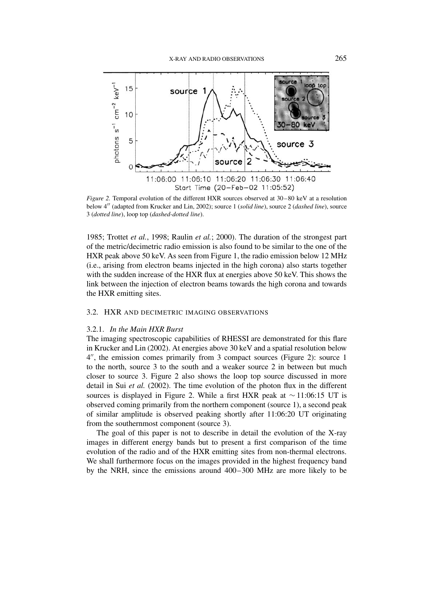

*Figure 2.* Temporal evolution of the different HXR sources observed at 30–80 keV at a resolution below 4" (adapted from Krucker and Lin, 2002); source 1 (*solid line*), source 2 (*dashed line*), source 3 (*dotted line*), loop top (*dashed-dotted line*).

1985; Trottet *et al.*, 1998; Raulin *et al.*; 2000). The duration of the strongest part of the metric/decimetric radio emission is also found to be similar to the one of the HXR peak above 50 keV. As seen from Figure 1, the radio emission below 12 MHz (i.e., arising from electron beams injected in the high corona) also starts together with the sudden increase of the HXR flux at energies above 50 keV. This shows the link between the injection of electron beams towards the high corona and towards the HXR emitting sites.

#### 3.2. HXR AND DECIMETRIC IMAGING OBSERVATIONS

## 3.2.1. *In the Main HXR Burst*

The imaging spectroscopic capabilities of RHESSI are demonstrated for this flare in Krucker and Lin (2002). At energies above 30 keV and a spatial resolution below 4", the emission comes primarily from 3 compact sources (Figure 2): source 1 to the north, source 3 to the south and a weaker source 2 in between but much closer to source 3. Figure 2 also shows the loop top source discussed in more detail in Sui *et al.* (2002). The time evolution of the photon flux in the different sources is displayed in Figure 2. While a first HXR peak at ∼ 11:06:15 UT is observed coming primarily from the northern component (source 1), a second peak of similar amplitude is observed peaking shortly after 11:06:20 UT originating from the southernmost component (source 3).

The goal of this paper is not to describe in detail the evolution of the X-ray images in different energy bands but to present a first comparison of the time evolution of the radio and of the HXR emitting sites from non-thermal electrons. We shall furthermore focus on the images provided in the highest frequency band by the NRH, since the emissions around 400–300 MHz are more likely to be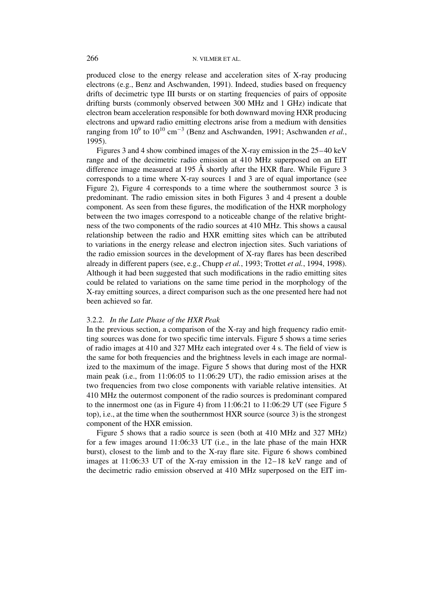produced close to the energy release and acceleration sites of X-ray producing electrons (e.g., Benz and Aschwanden, 1991). Indeed, studies based on frequency drifts of decimetric type III bursts or on starting frequencies of pairs of opposite drifting bursts (commonly observed between 300 MHz and 1 GHz) indicate that electron beam acceleration responsible for both downward moving HXR producing electrons and upward radio emitting electrons arise from a medium with densities ranging from  $10^9$  to  $10^{10}$  cm<sup>-3</sup> (Benz and Aschwanden, 1991; Aschwanden *et al.*, 1995).

Figures 3 and 4 show combined images of the X-ray emission in the 25–40 keV range and of the decimetric radio emission at 410 MHz superposed on an EIT difference image measured at 195 Å shortly after the HXR flare. While Figure 3 corresponds to a time where X-ray sources 1 and 3 are of equal importance (see Figure 2), Figure 4 corresponds to a time where the southernmost source 3 is predominant. The radio emission sites in both Figures 3 and 4 present a double component. As seen from these figures, the modification of the HXR morphology between the two images correspond to a noticeable change of the relative brightness of the two components of the radio sources at 410 MHz. This shows a causal relationship between the radio and HXR emitting sites which can be attributed to variations in the energy release and electron injection sites. Such variations of the radio emission sources in the development of X-ray flares has been described already in different papers (see, e.g., Chupp *et al.*, 1993; Trottet *et al.*, 1994, 1998). Although it had been suggested that such modifications in the radio emitting sites could be related to variations on the same time period in the morphology of the X-ray emitting sources, a direct comparison such as the one presented here had not been achieved so far.

#### 3.2.2. *In the Late Phase of the HXR Peak*

In the previous section, a comparison of the X-ray and high frequency radio emitting sources was done for two specific time intervals. Figure 5 shows a time series of radio images at 410 and 327 MHz each integrated over 4 s. The field of view is the same for both frequencies and the brightness levels in each image are normalized to the maximum of the image. Figure 5 shows that during most of the HXR main peak (i.e., from 11:06:05 to 11:06:29 UT), the radio emission arises at the two frequencies from two close components with variable relative intensities. At 410 MHz the outermost component of the radio sources is predominant compared to the innermost one (as in Figure 4) from 11:06:21 to 11:06:29 UT (see Figure 5 top), i.e., at the time when the southernmost HXR source (source 3) is the strongest component of the HXR emission.

Figure 5 shows that a radio source is seen (both at 410 MHz and 327 MHz) for a few images around 11:06:33 UT (i.e., in the late phase of the main HXR burst), closest to the limb and to the X-ray flare site. Figure 6 shows combined images at 11:06:33 UT of the X-ray emission in the 12–18 keV range and of the decimetric radio emission observed at 410 MHz superposed on the EIT im-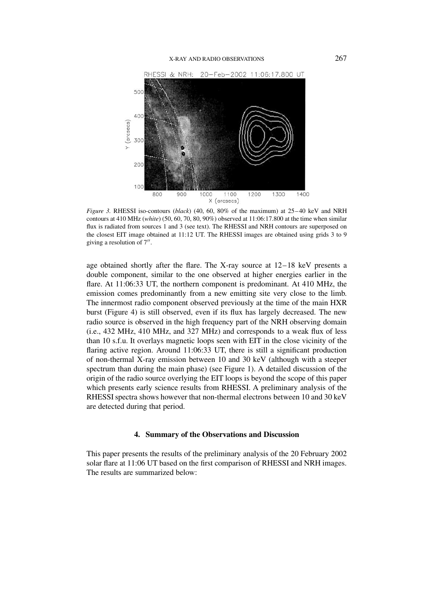#### X-RAY AND RADIO OBSERVATIONS 267



*Figure 3.* RHESSI iso-contours (*black*) (40, 60, 80% of the maximum) at 25–40 keV and NRH contours at 410 MHz (*white*) (50, 60, 70, 80, 90%) observed at 11:06:17.800 at the time when similar flux is radiated from sources 1 and 3 (see text). The RHESSI and NRH contours are superposed on the closest EIT image obtained at 11:12 UT. The RHESSI images are obtained using grids 3 to 9 giving a resolution of 7".

age obtained shortly after the flare. The X-ray source at 12–18 keV presents a double component, similar to the one observed at higher energies earlier in the flare. At 11:06:33 UT, the northern component is predominant. At 410 MHz, the emission comes predominantly from a new emitting site very close to the limb. The innermost radio component observed previously at the time of the main HXR burst (Figure 4) is still observed, even if its flux has largely decreased. The new radio source is observed in the high frequency part of the NRH observing domain (i.e., 432 MHz, 410 MHz, and 327 MHz) and corresponds to a weak flux of less than 10 s.f.u. It overlays magnetic loops seen with EIT in the close vicinity of the flaring active region. Around 11:06:33 UT, there is still a significant production of non-thermal X-ray emission between 10 and 30 keV (although with a steeper spectrum than during the main phase) (see Figure 1). A detailed discussion of the origin of the radio source overlying the EIT loops is beyond the scope of this paper which presents early science results from RHESSI. A preliminary analysis of the RHESSI spectra shows however that non-thermal electrons between 10 and 30 keV are detected during that period.

## **4. Summary of the Observations and Discussion**

This paper presents the results of the preliminary analysis of the 20 February 2002 solar flare at 11:06 UT based on the first comparison of RHESSI and NRH images. The results are summarized below: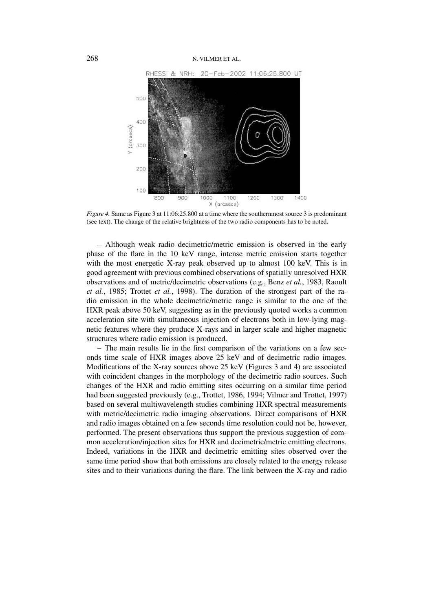

*Figure 4.* Same as Figure 3 at 11:06:25.800 at a time where the southernmost source 3 is predominant (see text). The change of the relative brightness of the two radio components has to be noted.

– Although weak radio decimetric/metric emission is observed in the early phase of the flare in the 10 keV range, intense metric emission starts together with the most energetic X-ray peak observed up to almost 100 keV. This is in good agreement with previous combined observations of spatially unresolved HXR observations and of metric/decimetric observations (e.g., Benz *et al.*, 1983, Raoult *et al.*, 1985; Trottet *et al.*, 1998). The duration of the strongest part of the radio emission in the whole decimetric/metric range is similar to the one of the HXR peak above 50 keV, suggesting as in the previously quoted works a common acceleration site with simultaneous injection of electrons both in low-lying magnetic features where they produce X-rays and in larger scale and higher magnetic structures where radio emission is produced.

– The main results lie in the first comparison of the variations on a few seconds time scale of HXR images above 25 keV and of decimetric radio images. Modifications of the X-ray sources above 25 keV (Figures 3 and 4) are associated with coincident changes in the morphology of the decimetric radio sources. Such changes of the HXR and radio emitting sites occurring on a similar time period had been suggested previously (e.g., Trottet, 1986, 1994; Vilmer and Trottet, 1997) based on several multiwavelength studies combining HXR spectral measurements with metric/decimetric radio imaging observations. Direct comparisons of HXR and radio images obtained on a few seconds time resolution could not be, however, performed. The present observations thus support the previous suggestion of common acceleration/injection sites for HXR and decimetric/metric emitting electrons. Indeed, variations in the HXR and decimetric emitting sites observed over the same time period show that both emissions are closely related to the energy release sites and to their variations during the flare. The link between the X-ray and radio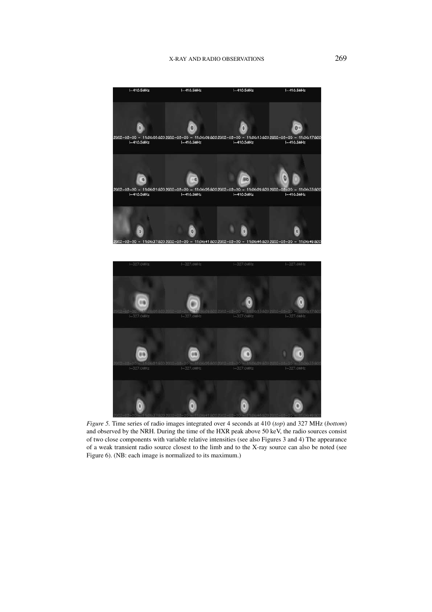



*Figure 5.* Time series of radio images integrated over 4 seconds at 410 (*top*) and 327 MHz (*bottom*) and observed by the NRH. During the time of the HXR peak above 50 keV, the radio sources consist of two close components with variable relative intensities (see also Figures 3 and 4) The appearance of a weak transient radio source closest to the limb and to the X-ray source can also be noted (see Figure 6). (NB: each image is normalized to its maximum.)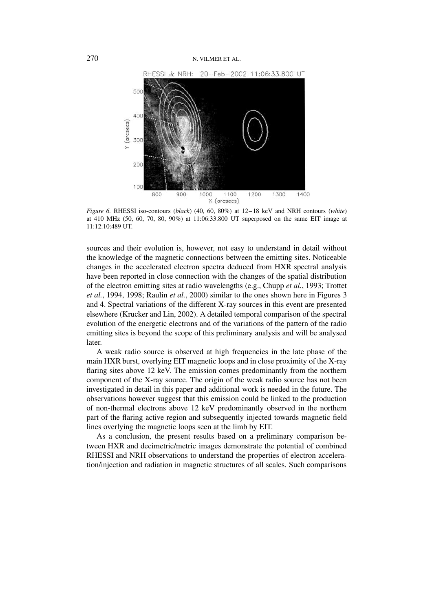

*Figure 6.* RHESSI iso-contours (*black*) (40, 60, 80%) at 12–18 keV and NRH contours (*white*) at 410 MHz (50, 60, 70, 80, 90%) at 11:06:33.800 UT superposed on the same EIT image at 11:12:10:489 UT.

sources and their evolution is, however, not easy to understand in detail without the knowledge of the magnetic connections between the emitting sites. Noticeable changes in the accelerated electron spectra deduced from HXR spectral analysis have been reported in close connection with the changes of the spatial distribution of the electron emitting sites at radio wavelengths (e.g., Chupp *et al.*, 1993; Trottet *et al.*, 1994, 1998; Raulin *et al.*, 2000) similar to the ones shown here in Figures 3 and 4. Spectral variations of the different X-ray sources in this event are presented elsewhere (Krucker and Lin, 2002). A detailed temporal comparison of the spectral evolution of the energetic electrons and of the variations of the pattern of the radio emitting sites is beyond the scope of this preliminary analysis and will be analysed later.

A weak radio source is observed at high frequencies in the late phase of the main HXR burst, overlying EIT magnetic loops and in close proximity of the X-ray flaring sites above 12 keV. The emission comes predominantly from the northern component of the X-ray source. The origin of the weak radio source has not been investigated in detail in this paper and additional work is needed in the future. The observations however suggest that this emission could be linked to the production of non-thermal electrons above 12 keV predominantly observed in the northern part of the flaring active region and subsequently injected towards magnetic field lines overlying the magnetic loops seen at the limb by EIT.

As a conclusion, the present results based on a preliminary comparison between HXR and decimetric/metric images demonstrate the potential of combined RHESSI and NRH observations to understand the properties of electron acceleration/injection and radiation in magnetic structures of all scales. Such comparisons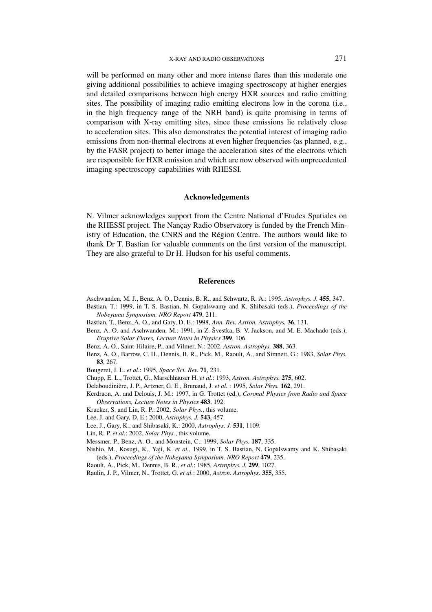will be performed on many other and more intense flares than this moderate one giving additional possibilities to achieve imaging spectroscopy at higher energies and detailed comparisons between high energy HXR sources and radio emitting sites. The possibility of imaging radio emitting electrons low in the corona (i.e., in the high frequency range of the NRH band) is quite promising in terms of comparison with X-ray emitting sites, since these emissions lie relatively close to acceleration sites. This also demonstrates the potential interest of imaging radio emissions from non-thermal electrons at even higher frequencies (as planned, e.g., by the FASR project) to better image the acceleration sites of the electrons which are responsible for HXR emission and which are now observed with unprecedented imaging-spectroscopy capabilities with RHESSI.

## **Acknowledgements**

N. Vilmer acknowledges support from the Centre National d'Etudes Spatiales on the RHESSI project. The Nançay Radio Observatory is funded by the French Ministry of Education, the CNRS and the Région Centre. The authors would like to thank Dr T. Bastian for valuable comments on the first version of the manuscript. They are also grateful to Dr H. Hudson for his useful comments.

## **References**

- Aschwanden, M. J., Benz, A. O., Dennis, B. R., and Schwartz, R. A.: 1995, *Astrophys. J.* **455**, 347.
- Bastian, T.: 1999, in T. S. Bastian, N. Gopalswamy and K. Shibasaki (eds.), *Proceedings of the Nobeyama Symposium, NRO Report* **479**, 211.
- Bastian, T., Benz, A. O., and Gary, D. E.: 1998, *Ann. Rev. Astron. Astrophys.* **36**, 131.
- Benz, A. O. and Aschwanden, M.: 1991, in Z. Švestka, B. V. Jackson, and M. E. Machado (eds.), *Eruptive Solar Flares, Lecture Notes in Physics* **399**, 106.
- Benz, A. O., Saint-Hilaire, P., and Vilmer, N.: 2002, *Astron. Astrophys.* **388**, 363.
- Benz, A. O., Barrow, C. H., Dennis, B. R., Pick, M., Raoult, A., and Simnett, G.: 1983, *Solar Phys.* **83**, 267.
- Bougeret, J. L. *et al.*: 1995, *Space Sci. Rev.* **71**, 231.
- Chupp, E. L., Trottet, G., Marschhäuser H. *et al.*: 1993, *Astron. Astrophys.* **275**, 602.
- Delaboudinière, J. P., Artzner, G. E., Brunaud, J. *et al.* : 1995, *Solar Phys.* **162**, 291.
- Kerdraon, A. and Delouis, J. M.: 1997, in G. Trottet (ed.), *Coronal Physics from Radio and Space Observations, Lecture Notes in Physics* **483**, 192.
- Krucker, S. and Lin, R. P.: 2002, *Solar Phys.*, this volume.
- Lee, J. and Gary, D. E.: 2000, *Astrophys. J.* **543**, 457.
- Lee, J., Gary, K., and Shibasaki, K.: 2000, *Astrophys. J.* **531**, 1109.
- Lin, R. P. *et al.*: 2002, *Solar Phys.*, this volume.
- Messmer, P., Benz, A. O., and Monstein, C.: 1999, *Solar Phys.* **187**, 335.
- Nishio, M., Kosugi, K., Yaji, K. *et al.*, 1999, in T. S. Bastian, N. Gopalswamy and K. Shibasaki (eds.), *Proceedings of the Nobeyama Symposium, NRO Report* **479**, 235.
- Raoult, A., Pick, M., Dennis, B. R., *et al.*: 1985, *Astrophys. J.* **299**, 1027.
- Raulin, J. P., Vilmer, N., Trottet, G. *et al.*: 2000, *Astron. Astrophys.* **355**, 355.